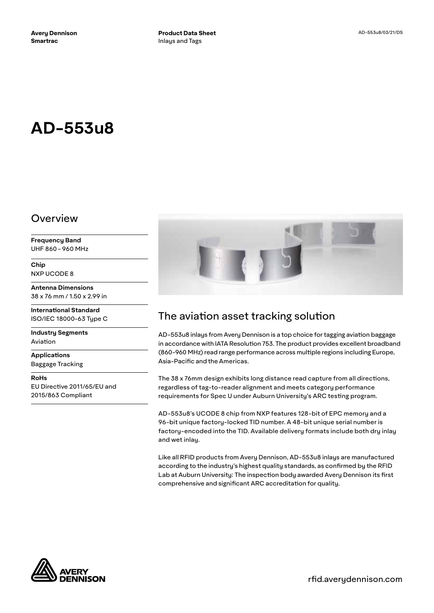# **AD-553u8**

### Overview

**Frequency Band** UHF 860 - 960 MHz

**Chip** NXP UCODE 8

**Antenna Dimensions** 38 x 76 mm / 1.50 x 2.99 in

**International Standard** ISO/IEC 18000-63 Type C

**Industry Segments** Aviation

**Applications** Baggage Tracking

**RoHs**

EU Directive 2011/65/EU and 2015/863 Compliant



# The aviation asset tracking solution

AD-553u8 inlays from Avery Dennison is a top choice for tagging aviation baggage in accordance with IATA Resolution 753. The product provides excellent broadband (860-960 MHz) read range performance across multiple regions including Europe, Asia-Pacific and the Americas.

The 38 x 76mm design exhibits long distance read capture from all directions, regardless of tag-to-reader alignment and meets category performance requirements for Spec U under Auburn University's ARC testing program.

AD-553u8's UCODE 8 chip from NXP features 128-bit of EPC memory and a 96-bit unique factory-locked TID number. A 48-bit unique serial number is factory-encoded into the TID. Available delivery formats include both dry inlay and wet inlay.

Like all RFID products from Avery Dennison, AD-553u8 inlays are manufactured according to the industry's highest quality standards, as confirmed by the RFID Lab at Auburn University: The inspection body awarded Avery Dennison its first comprehensive and significant ARC accreditation for quality.